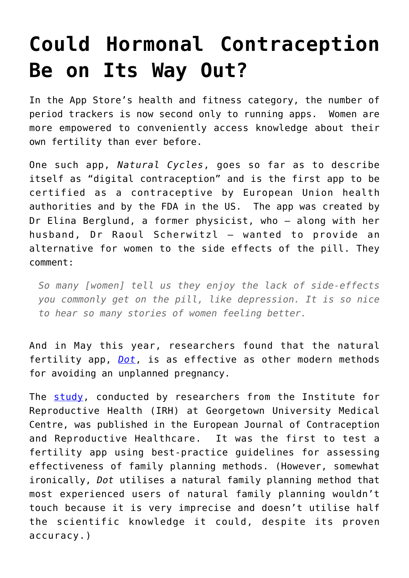## **[Could Hormonal Contraception](https://intellectualtakeout.org/2019/07/could-hormonal-contraception-be-on-its-way-out/) [Be on Its Way Out?](https://intellectualtakeout.org/2019/07/could-hormonal-contraception-be-on-its-way-out/)**

In the App Store's health and fitness category, the number of period trackers is now second only to running apps. Women are more empowered to conveniently access knowledge about their own fertility than ever before.

One such app, *Natural Cycles*, goes so far as to describe itself as "digital contraception" and is the first app to be certified as a contraceptive by European Union health authorities and by the FDA in the US. The app was created by Dr Elina Berglund, a former physicist, who – along with her husband, Dr Raoul Scherwitzl – wanted to provide an alternative for women to the side effects of the pill. They comment:

*So many [women] tell us they enjoy the lack of side-effects you commonly get on the pill, like depression. It is so nice to hear so many stories of women feeling better.*

And in May this year, researchers found that the natural fertility app, *[Dot](https://www.dottheapp.com/)*, is as effective as other modern methods for avoiding an unplanned pregnancy.

The [study](https://www.sciencedaily.com/releases/2019/03/190318132556.htm), conducted by researchers from the Institute for Reproductive Health (IRH) at Georgetown University Medical Centre, was published in the European Journal of Contraception and Reproductive Healthcare. It was the first to test a fertility app using best-practice guidelines for assessing effectiveness of family planning methods. (However, somewhat ironically, *Dot* utilises a natural family planning method that most experienced users of natural family planning wouldn't touch because it is very imprecise and doesn't utilise half the scientific knowledge it could, despite its proven accuracy.)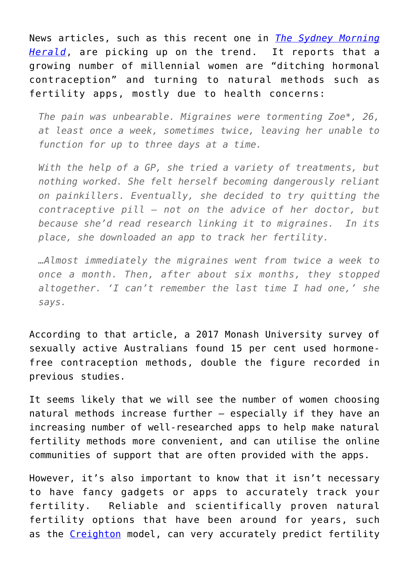News articles, such as this recent one in *[The Sydney Morning](https://www.smh.com.au/lifestyle/health-and-wellness/the-millennial-women-ditching-hormonal-contraception-20190626-p521hk.html) [Herald](https://www.smh.com.au/lifestyle/health-and-wellness/the-millennial-women-ditching-hormonal-contraception-20190626-p521hk.html)*, are picking up on the trend. It reports that a growing number of millennial women are "ditching hormonal contraception" and turning to natural methods such as fertility apps, mostly due to health concerns:

*The pain was unbearable. Migraines were tormenting Zoe\*, 26, at least once a week, sometimes twice, leaving her unable to function for up to three days at a time.*

*With the help of a GP, she tried a variety of treatments, but nothing worked. She felt herself becoming dangerously reliant on painkillers. Eventually, she decided to try quitting the contraceptive pill – not on the advice of her doctor, but because she'd read research linking it to migraines. In its place, she downloaded an app to track her fertility.*

*…Almost immediately the migraines went from twice a week to once a month. Then, after about six months, they stopped altogether. 'I can't remember the last time I had one,' she says.*

According to that article, a 2017 Monash University survey of sexually active Australians found 15 per cent used hormonefree contraception methods, double the figure recorded in previous studies.

It seems likely that we will see the number of women choosing natural methods increase further – especially if they have an increasing number of well-researched apps to help make natural fertility methods more convenient, and can utilise the online communities of support that are often provided with the apps.

However, it's also important to know that it isn't necessary to have fancy gadgets or apps to accurately track your fertility. Reliable and scientifically proven natural fertility options that have been around for years, such as the [Creighton](https://www.creightonmodel.com/) model, can very accurately predict fertility